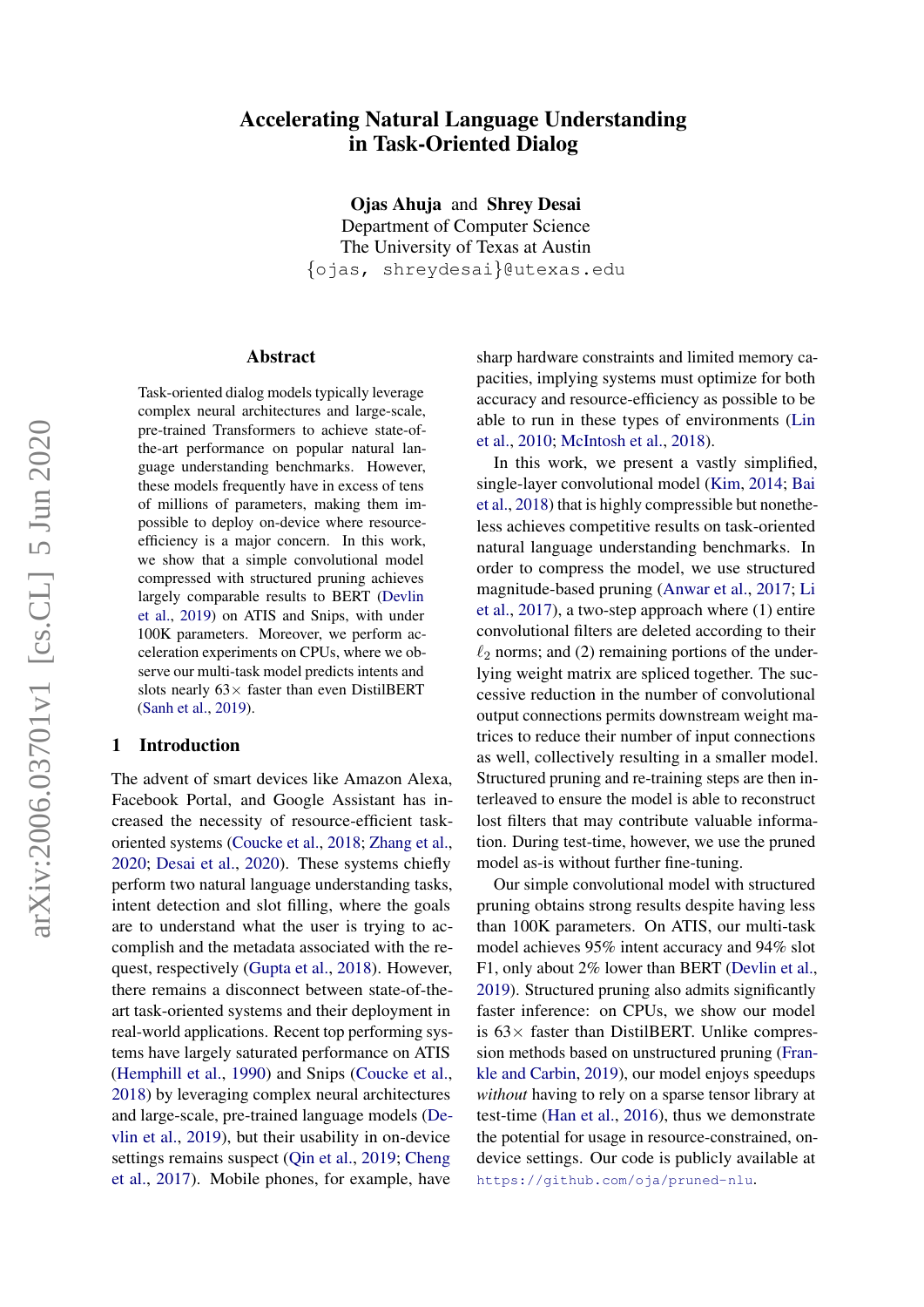# arXiv:2006.03701v1 [cs.CL] 5 Jun 2020 arXiv:2006.03701v1 [cs.CL] 5 Jun 2020

# Accelerating Natural Language Understanding in Task-Oriented Dialog

Ojas Ahuja and Shrey Desai Department of Computer Science The University of Texas at Austin {ojas, shreydesai}@utexas.edu

### Abstract

Task-oriented dialog models typically leverage complex neural architectures and large-scale, pre-trained Transformers to achieve state-ofthe-art performance on popular natural language understanding benchmarks. However, these models frequently have in excess of tens of millions of parameters, making them impossible to deploy on-device where resourceefficiency is a major concern. In this work, we show that a simple convolutional model compressed with structured pruning achieves largely comparable results to BERT [\(Devlin](#page-5-0) [et al.,](#page-5-0) [2019\)](#page-5-0) on ATIS and Snips, with under 100K parameters. Moreover, we perform acceleration experiments on CPUs, where we observe our multi-task model predicts intents and slots nearly  $63 \times$  faster than even DistilBERT [\(Sanh et al.,](#page-6-0) [2019\)](#page-6-0).

# 1 Introduction

The advent of smart devices like Amazon Alexa, Facebook Portal, and Google Assistant has increased the necessity of resource-efficient taskoriented systems [\(Coucke et al.,](#page-5-1) [2018;](#page-5-1) [Zhang et al.,](#page-7-0) [2020;](#page-7-0) [Desai et al.,](#page-5-2) [2020\)](#page-5-2). These systems chiefly perform two natural language understanding tasks, intent detection and slot filling, where the goals are to understand what the user is trying to accomplish and the metadata associated with the request, respectively [\(Gupta et al.,](#page-5-3) [2018\)](#page-5-3). However, there remains a disconnect between state-of-theart task-oriented systems and their deployment in real-world applications. Recent top performing systems have largely saturated performance on ATIS [\(Hemphill et al.,](#page-5-4) [1990\)](#page-5-4) and Snips [\(Coucke et al.,](#page-5-1) [2018\)](#page-5-1) by leveraging complex neural architectures and large-scale, pre-trained language models [\(De](#page-5-0)[vlin et al.,](#page-5-0) [2019\)](#page-5-0), but their usability in on-device settings remains suspect [\(Qin et al.,](#page-6-1) [2019;](#page-6-1) [Cheng](#page-5-5) [et al.,](#page-5-5) [2017\)](#page-5-5). Mobile phones, for example, have

sharp hardware constraints and limited memory capacities, implying systems must optimize for both accuracy and resource-efficiency as possible to be able to run in these types of environments [\(Lin](#page-6-2) [et al.,](#page-6-2) [2010;](#page-6-2) [McIntosh et al.,](#page-6-3) [2018\)](#page-6-3).

In this work, we present a vastly simplified, single-layer convolutional model [\(Kim,](#page-5-6) [2014;](#page-5-6) [Bai](#page-4-0) [et al.,](#page-4-0) [2018\)](#page-4-0) that is highly compressible but nonetheless achieves competitive results on task-oriented natural language understanding benchmarks. In order to compress the model, we use structured magnitude-based pruning [\(Anwar et al.,](#page-4-1) [2017;](#page-4-1) [Li](#page-6-4) [et al.,](#page-6-4) [2017\)](#page-6-4), a two-step approach where (1) entire convolutional filters are deleted according to their  $\ell_2$  norms; and (2) remaining portions of the underlying weight matrix are spliced together. The successive reduction in the number of convolutional output connections permits downstream weight matrices to reduce their number of input connections as well, collectively resulting in a smaller model. Structured pruning and re-training steps are then interleaved to ensure the model is able to reconstruct lost filters that may contribute valuable information. During test-time, however, we use the pruned model as-is without further fine-tuning.

Our simple convolutional model with structured pruning obtains strong results despite having less than 100K parameters. On ATIS, our multi-task model achieves 95% intent accuracy and 94% slot F1, only about 2% lower than BERT [\(Devlin et al.,](#page-5-0) [2019\)](#page-5-0). Structured pruning also admits significantly faster inference: on CPUs, we show our model is  $63\times$  faster than DistilBERT. Unlike compression methods based on unstructured pruning [\(Fran](#page-5-7)[kle and Carbin,](#page-5-7) [2019\)](#page-5-7), our model enjoys speedups *without* having to rely on a sparse tensor library at test-time [\(Han et al.,](#page-5-8) [2016\)](#page-5-8), thus we demonstrate the potential for usage in resource-constrained, ondevice settings. Our code is publicly available at <https://github.com/oja/pruned-nlu>.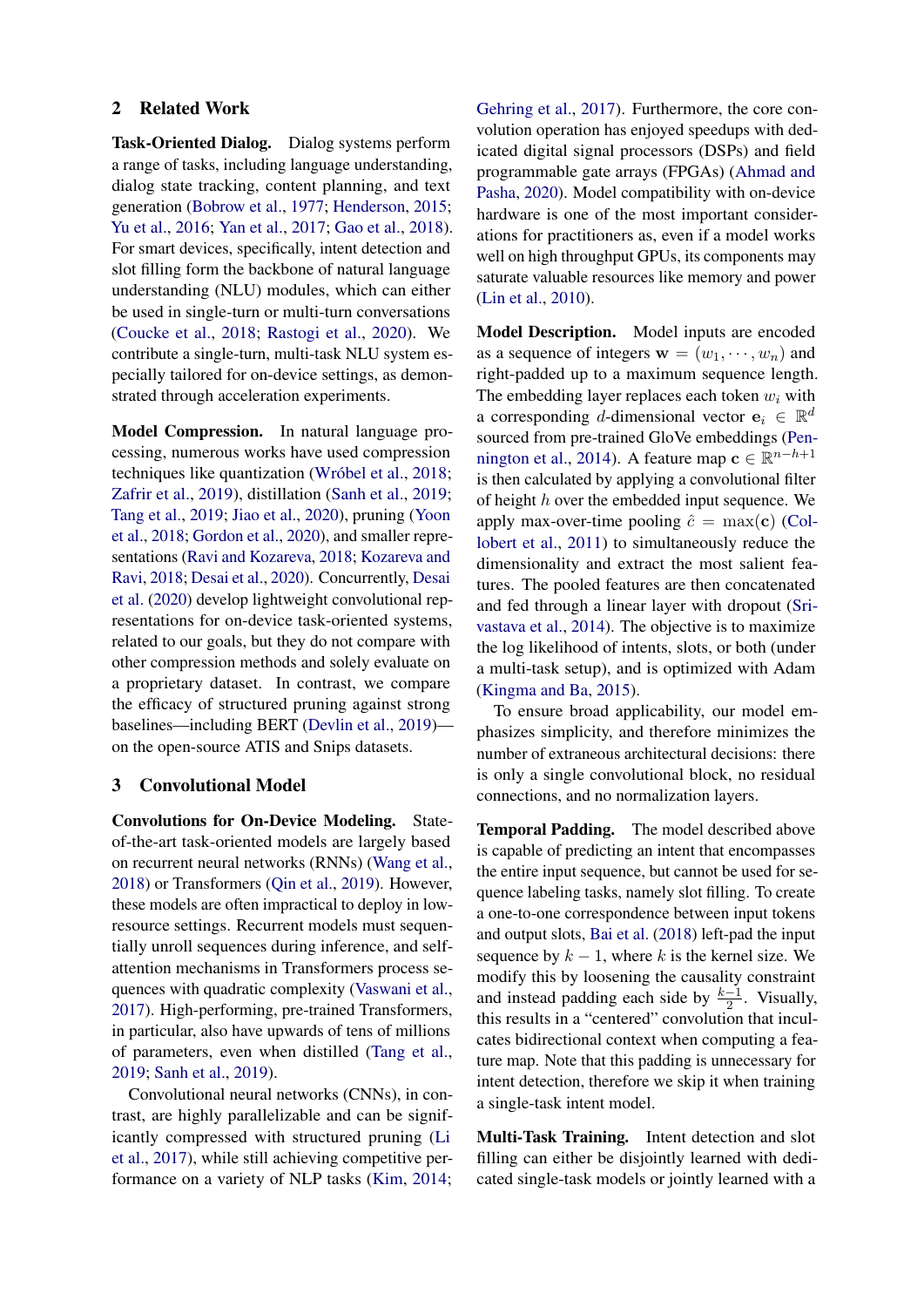### 2 Related Work

Task-Oriented Dialog. Dialog systems perform a range of tasks, including language understanding, dialog state tracking, content planning, and text generation [\(Bobrow et al.,](#page-5-9) [1977;](#page-5-9) [Henderson,](#page-5-10) [2015;](#page-5-10) [Yu et al.,](#page-6-5) [2016;](#page-6-5) [Yan et al.,](#page-6-6) [2017;](#page-6-6) [Gao et al.,](#page-5-11) [2018\)](#page-5-11). For smart devices, specifically, intent detection and slot filling form the backbone of natural language understanding (NLU) modules, which can either be used in single-turn or multi-turn conversations [\(Coucke et al.,](#page-5-1) [2018;](#page-5-1) [Rastogi et al.,](#page-6-7) [2020\)](#page-6-7). We contribute a single-turn, multi-task NLU system especially tailored for on-device settings, as demonstrated through acceleration experiments.

Model Compression. In natural language processing, numerous works have used compression techniques like quantization (Wróbel et al., [2018;](#page-6-8) [Zafrir et al.,](#page-6-9) [2019\)](#page-6-9), distillation [\(Sanh et al.,](#page-6-0) [2019;](#page-6-0) [Tang et al.,](#page-6-10) [2019;](#page-6-10) [Jiao et al.,](#page-5-12) [2020\)](#page-5-12), pruning [\(Yoon](#page-6-11) [et al.,](#page-6-11) [2018;](#page-6-11) [Gordon et al.,](#page-5-13) [2020\)](#page-5-13), and smaller representations [\(Ravi and Kozareva,](#page-6-12) [2018;](#page-6-12) [Kozareva and](#page-5-14) [Ravi,](#page-5-14) [2018;](#page-5-14) [Desai et al.,](#page-5-2) [2020\)](#page-5-2). Concurrently, [Desai](#page-5-2) [et al.](#page-5-2) [\(2020\)](#page-5-2) develop lightweight convolutional representations for on-device task-oriented systems, related to our goals, but they do not compare with other compression methods and solely evaluate on a proprietary dataset. In contrast, we compare the efficacy of structured pruning against strong baselines—including BERT [\(Devlin et al.,](#page-5-0) [2019\)](#page-5-0) on the open-source ATIS and Snips datasets.

### 3 Convolutional Model

Convolutions for On-Device Modeling. Stateof-the-art task-oriented models are largely based on recurrent neural networks (RNNs) [\(Wang et al.,](#page-6-13) [2018\)](#page-6-13) or Transformers [\(Qin et al.,](#page-6-1) [2019\)](#page-6-1). However, these models are often impractical to deploy in lowresource settings. Recurrent models must sequentially unroll sequences during inference, and selfattention mechanisms in Transformers process sequences with quadratic complexity [\(Vaswani et al.,](#page-6-14) [2017\)](#page-6-14). High-performing, pre-trained Transformers, in particular, also have upwards of tens of millions of parameters, even when distilled [\(Tang et al.,](#page-6-10) [2019;](#page-6-10) [Sanh et al.,](#page-6-0) [2019\)](#page-6-0).

Convolutional neural networks (CNNs), in contrast, are highly parallelizable and can be significantly compressed with structured pruning [\(Li](#page-6-4) [et al.,](#page-6-4) [2017\)](#page-6-4), while still achieving competitive performance on a variety of NLP tasks [\(Kim,](#page-5-6) [2014;](#page-5-6)

[Gehring et al.,](#page-5-15) [2017\)](#page-5-15). Furthermore, the core convolution operation has enjoyed speedups with dedicated digital signal processors (DSPs) and field programmable gate arrays (FPGAs) [\(Ahmad and](#page-4-2) [Pasha,](#page-4-2) [2020\)](#page-4-2). Model compatibility with on-device hardware is one of the most important considerations for practitioners as, even if a model works well on high throughput GPUs, its components may saturate valuable resources like memory and power [\(Lin et al.,](#page-6-2) [2010\)](#page-6-2).

Model Description. Model inputs are encoded as a sequence of integers  $\mathbf{w} = (w_1, \dots, w_n)$  and right-padded up to a maximum sequence length. The embedding layer replaces each token  $w_i$  with a corresponding d-dimensional vector  $\mathbf{e}_i \in \mathbb{R}^d$ sourced from pre-trained GloVe embeddings [\(Pen](#page-6-15)[nington et al.,](#page-6-15) [2014\)](#page-6-15). A feature map  $c \in \mathbb{R}^{n-h+1}$ is then calculated by applying a convolutional filter of height  $h$  over the embedded input sequence. We apply max-over-time pooling  $\hat{c} = \max(c)$  [\(Col](#page-5-16)[lobert et al.,](#page-5-16) [2011\)](#page-5-16) to simultaneously reduce the dimensionality and extract the most salient features. The pooled features are then concatenated and fed through a linear layer with dropout [\(Sri](#page-6-16)[vastava et al.,](#page-6-16) [2014\)](#page-6-16). The objective is to maximize the log likelihood of intents, slots, or both (under a multi-task setup), and is optimized with Adam [\(Kingma and Ba,](#page-5-17) [2015\)](#page-5-17).

To ensure broad applicability, our model emphasizes simplicity, and therefore minimizes the number of extraneous architectural decisions: there is only a single convolutional block, no residual connections, and no normalization layers.

Temporal Padding. The model described above is capable of predicting an intent that encompasses the entire input sequence, but cannot be used for sequence labeling tasks, namely slot filling. To create a one-to-one correspondence between input tokens and output slots, [Bai et al.](#page-4-0) [\(2018\)](#page-4-0) left-pad the input sequence by  $k - 1$ , where k is the kernel size. We modify this by loosening the causality constraint and instead padding each side by  $\frac{k-1}{2}$ . Visually, this results in a "centered" convolution that inculcates bidirectional context when computing a feature map. Note that this padding is unnecessary for intent detection, therefore we skip it when training a single-task intent model.

Multi-Task Training. Intent detection and slot filling can either be disjointly learned with dedicated single-task models or jointly learned with a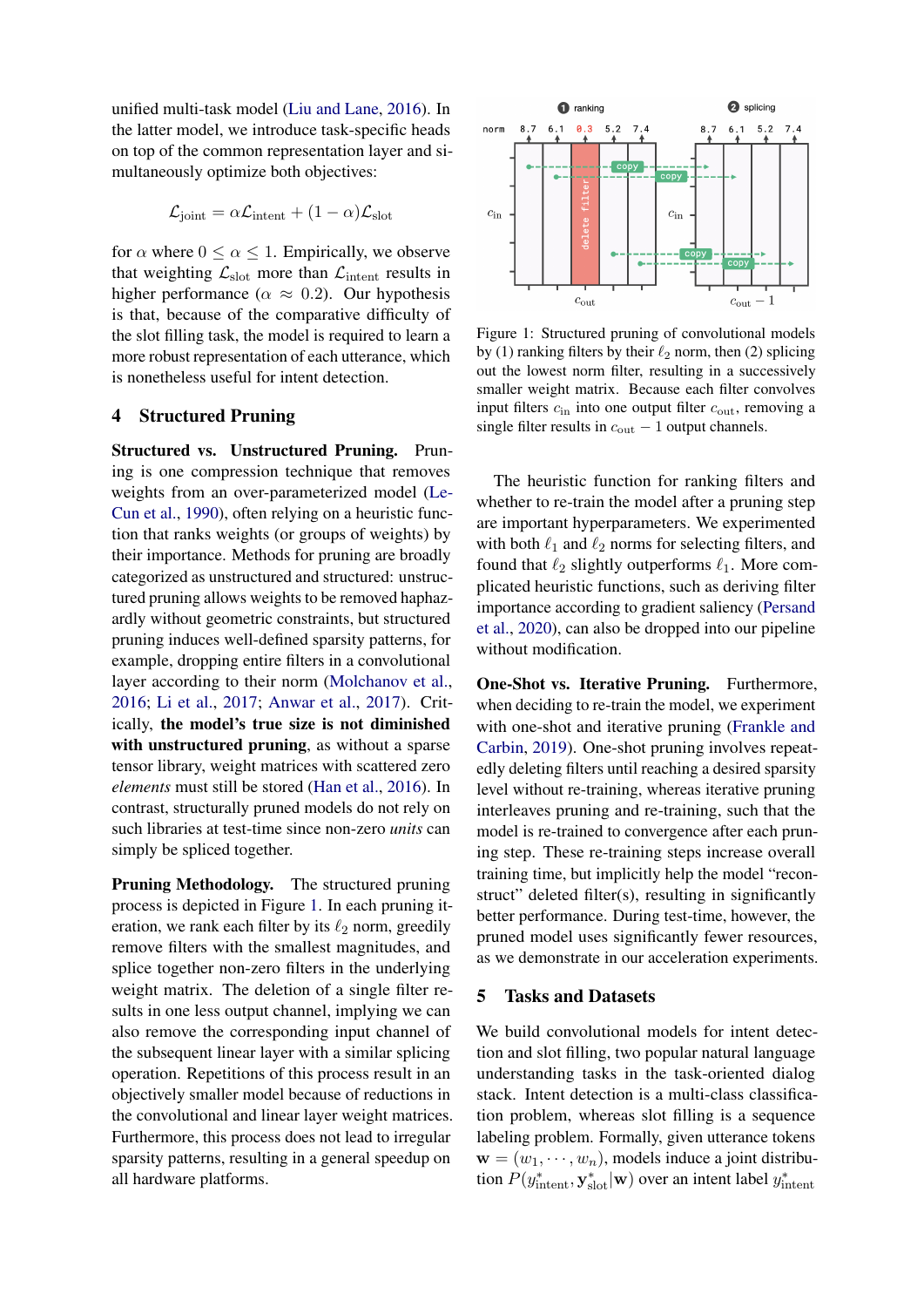unified multi-task model [\(Liu and Lane,](#page-6-17) [2016\)](#page-6-17). In the latter model, we introduce task-specific heads on top of the common representation layer and simultaneously optimize both objectives:

$$
\mathcal{L}_{joint} = \alpha \mathcal{L}_{intent} + (1 - \alpha) \mathcal{L}_{slot}
$$

for  $\alpha$  where  $0 \leq \alpha \leq 1$ . Empirically, we observe that weighting  $\mathcal{L}_{slot}$  more than  $\mathcal{L}_{intent}$  results in higher performance ( $\alpha \approx 0.2$ ). Our hypothesis is that, because of the comparative difficulty of the slot filling task, the model is required to learn a more robust representation of each utterance, which is nonetheless useful for intent detection.

### 4 Structured Pruning

Structured vs. Unstructured Pruning. Pruning is one compression technique that removes weights from an over-parameterized model [\(Le-](#page-5-18)[Cun et al.,](#page-5-18) [1990\)](#page-5-18), often relying on a heuristic function that ranks weights (or groups of weights) by their importance. Methods for pruning are broadly categorized as unstructured and structured: unstructured pruning allows weights to be removed haphazardly without geometric constraints, but structured pruning induces well-defined sparsity patterns, for example, dropping entire filters in a convolutional layer according to their norm [\(Molchanov et al.,](#page-6-18) [2016;](#page-6-18) [Li et al.,](#page-6-4) [2017;](#page-6-4) [Anwar et al.,](#page-4-1) [2017\)](#page-4-1). Critically, the model's true size is not diminished with unstructured pruning, as without a sparse tensor library, weight matrices with scattered zero *elements* must still be stored [\(Han et al.,](#page-5-8) [2016\)](#page-5-8). In contrast, structurally pruned models do not rely on such libraries at test-time since non-zero *units* can simply be spliced together.

Pruning Methodology. The structured pruning process is depicted in Figure [1.](#page-2-0) In each pruning iteration, we rank each filter by its  $\ell_2$  norm, greedily remove filters with the smallest magnitudes, and splice together non-zero filters in the underlying weight matrix. The deletion of a single filter results in one less output channel, implying we can also remove the corresponding input channel of the subsequent linear layer with a similar splicing operation. Repetitions of this process result in an objectively smaller model because of reductions in the convolutional and linear layer weight matrices. Furthermore, this process does not lead to irregular sparsity patterns, resulting in a general speedup on all hardware platforms.

<span id="page-2-0"></span>

Figure 1: Structured pruning of convolutional models by (1) ranking filters by their  $\ell_2$  norm, then (2) splicing out the lowest norm filter, resulting in a successively smaller weight matrix. Because each filter convolves input filters  $c_{\text{in}}$  into one output filter  $c_{\text{out}}$ , removing a single filter results in  $c_{\text{out}} - 1$  output channels.

The heuristic function for ranking filters and whether to re-train the model after a pruning step are important hyperparameters. We experimented with both  $\ell_1$  and  $\ell_2$  norms for selecting filters, and found that  $\ell_2$  slightly outperforms  $\ell_1$ . More complicated heuristic functions, such as deriving filter importance according to gradient saliency [\(Persand](#page-6-19) [et al.,](#page-6-19) [2020\)](#page-6-19), can also be dropped into our pipeline without modification.

One-Shot vs. Iterative Pruning. Furthermore, when deciding to re-train the model, we experiment with one-shot and iterative pruning [\(Frankle and](#page-5-7) [Carbin,](#page-5-7) [2019\)](#page-5-7). One-shot pruning involves repeatedly deleting filters until reaching a desired sparsity level without re-training, whereas iterative pruning interleaves pruning and re-training, such that the model is re-trained to convergence after each pruning step. These re-training steps increase overall training time, but implicitly help the model "reconstruct" deleted filter(s), resulting in significantly better performance. During test-time, however, the pruned model uses significantly fewer resources, as we demonstrate in our acceleration experiments.

### 5 Tasks and Datasets

We build convolutional models for intent detection and slot filling, two popular natural language understanding tasks in the task-oriented dialog stack. Intent detection is a multi-class classification problem, whereas slot filling is a sequence labeling problem. Formally, given utterance tokens  $\mathbf{w} = (w_1, \dots, w_n)$ , models induce a joint distribution  $P(y_{\text{intent}}^*, \mathbf{y}_{\text{slot}}^* | \mathbf{w})$  over an intent label  $y_{\text{intent}}^*$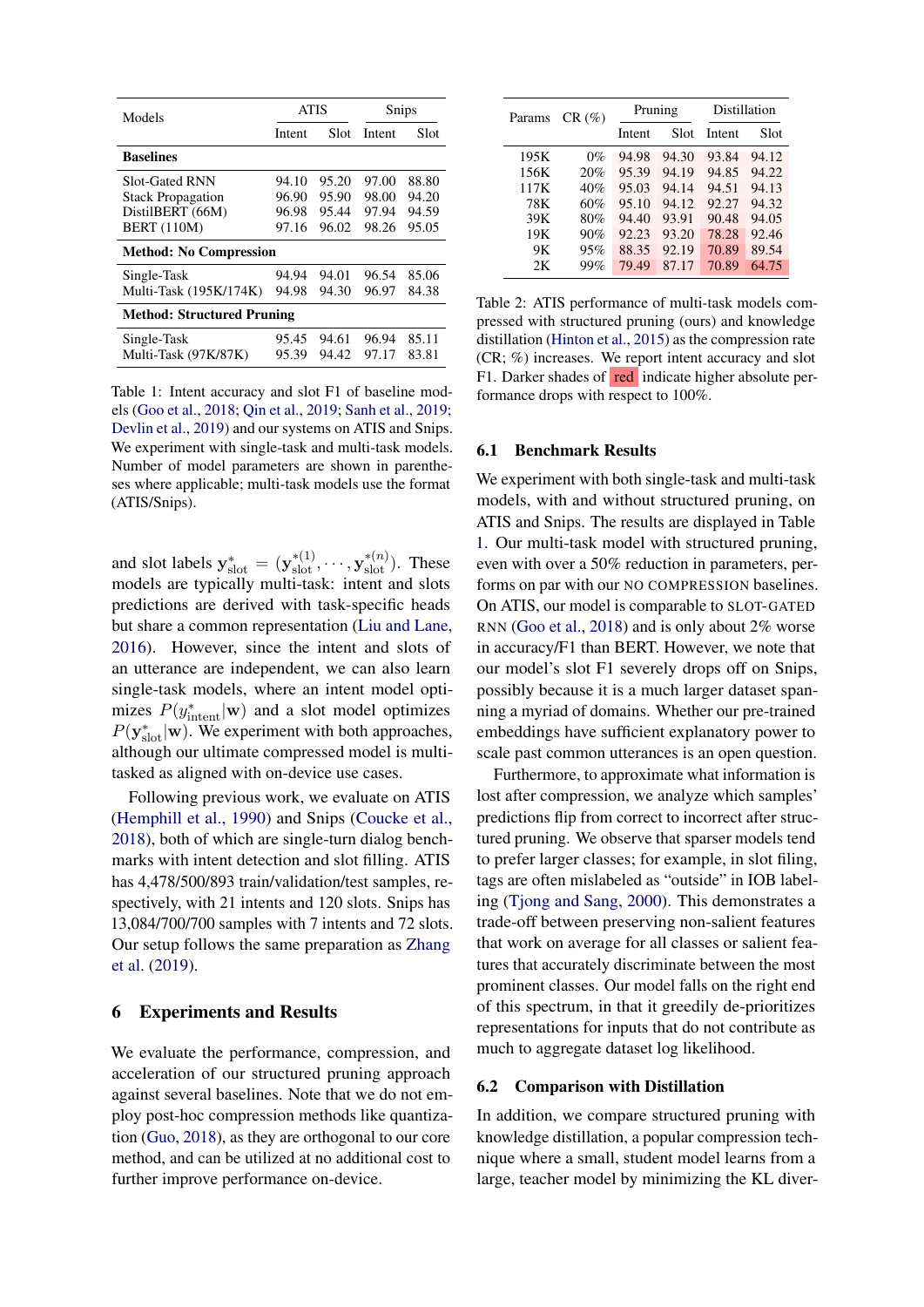<span id="page-3-0"></span>

| Models                            | <b>ATIS</b> |       | Snips  |       |  |  |  |
|-----------------------------------|-------------|-------|--------|-------|--|--|--|
|                                   | Intent      | Slot  | Intent | Slot  |  |  |  |
| <b>Baselines</b>                  |             |       |        |       |  |  |  |
| <b>Slot-Gated RNN</b>             | 94.10       | 95.20 | 97.00  | 88.80 |  |  |  |
| <b>Stack Propagation</b>          | 96.90       | 95.90 | 98.00  | 94.20 |  |  |  |
| DistilBERT (66M)                  | 96.98       | 95.44 | 97.94  | 94.59 |  |  |  |
| <b>BERT</b> (110M)                | 97.16       | 96.02 | 98.26  | 95.05 |  |  |  |
| <b>Method: No Compression</b>     |             |       |        |       |  |  |  |
| Single-Task                       | 94.94       | 94.01 | 96.54  | 85.06 |  |  |  |
| Multi-Task (195K/174K)            | 94.98       | 94.30 | 96.97  | 84.38 |  |  |  |
| <b>Method: Structured Pruning</b> |             |       |        |       |  |  |  |
| Single-Task                       | 95.45       | 94.61 | 96.94  | 85.11 |  |  |  |
| Multi-Task (97K/87K)              | 95.39       | 94.42 | 97.17  | 83.81 |  |  |  |

Table 1: Intent accuracy and slot F1 of baseline models [\(Goo et al.,](#page-5-19) [2018;](#page-5-19) [Qin et al.,](#page-6-1) [2019;](#page-6-1) [Sanh et al.,](#page-6-0) [2019;](#page-6-0) [Devlin et al.,](#page-5-0) [2019\)](#page-5-0) and our systems on ATIS and Snips. We experiment with single-task and multi-task models. Number of model parameters are shown in parentheses where applicable; multi-task models use the format (ATIS/Snips).

and slot labels  $y_{\text{slot}}^* = (y_{\text{slot}}^{*(1)}, \dots, y_{\text{slot}}^{*(n)})$ . These models are typically multi-task: intent and slots predictions are derived with task-specific heads but share a common representation [\(Liu and Lane,](#page-6-17) [2016\)](#page-6-17). However, since the intent and slots of an utterance are independent, we can also learn single-task models, where an intent model optimizes  $P(y_{\text{intent}}^*|\mathbf{w})$  and a slot model optimizes  $P(\mathbf{y}_{\text{slot}}^*|\mathbf{w})$ . We experiment with both approaches, although our ultimate compressed model is multitasked as aligned with on-device use cases.

Following previous work, we evaluate on ATIS [\(Hemphill et al.,](#page-5-4) [1990\)](#page-5-4) and Snips [\(Coucke et al.,](#page-5-1) [2018\)](#page-5-1), both of which are single-turn dialog benchmarks with intent detection and slot filling. ATIS has 4,478/500/893 train/validation/test samples, respectively, with 21 intents and 120 slots. Snips has 13,084/700/700 samples with 7 intents and 72 slots. Our setup follows the same preparation as [Zhang](#page-6-20) [et al.](#page-6-20) [\(2019\)](#page-6-20).

### 6 Experiments and Results

We evaluate the performance, compression, and acceleration of our structured pruning approach against several baselines. Note that we do not employ post-hoc compression methods like quantization [\(Guo,](#page-5-20) [2018\)](#page-5-20), as they are orthogonal to our core method, and can be utilized at no additional cost to further improve performance on-device.

<span id="page-3-1"></span>

| Params | CR(%) | Pruning |       | Distillation |       |
|--------|-------|---------|-------|--------------|-------|
|        |       | Intent  | Slot  | Intent       | Slot  |
| 195K   | $0\%$ | 94.98   | 94.30 | 93.84        | 94.12 |
| 156K   | 20%   | 95.39   | 94.19 | 94.85        | 94.22 |
| 117K   | 40%   | 95.03   | 94.14 | 94.51        | 94.13 |
| 78K    | 60%   | 95.10   | 94.12 | 92.27        | 94.32 |
| 39K    | 80%   | 94.40   | 93.91 | 90.48        | 94.05 |
| 19K    | 90%   | 92.23   | 93.20 | 78.28        | 92.46 |
| 9Κ     | 95%   | 88.35   | 92.19 | 70.89        | 89.54 |
| 2K     | 99%   | 79.49   | 87.17 | 70.89        | 64.75 |

Table 2: ATIS performance of multi-task models compressed with structured pruning (ours) and knowledge distillation [\(Hinton et al.,](#page-5-21) [2015\)](#page-5-21) as the compression rate (CR; %) increases. We report intent accuracy and slot F1. Darker shades of red indicate higher absolute performance drops with respect to 100%.

### 6.1 Benchmark Results

We experiment with both single-task and multi-task models, with and without structured pruning, on ATIS and Snips. The results are displayed in Table [1.](#page-3-0) Our multi-task model with structured pruning, even with over a 50% reduction in parameters, performs on par with our NO COMPRESSION baselines. On ATIS, our model is comparable to SLOT-GATED RNN [\(Goo et al.,](#page-5-19) [2018\)](#page-5-19) and is only about 2% worse in accuracy/F1 than BERT. However, we note that our model's slot F1 severely drops off on Snips, possibly because it is a much larger dataset spanning a myriad of domains. Whether our pre-trained embeddings have sufficient explanatory power to scale past common utterances is an open question.

Furthermore, to approximate what information is lost after compression, we analyze which samples' predictions flip from correct to incorrect after structured pruning. We observe that sparser models tend to prefer larger classes; for example, in slot filing, tags are often mislabeled as "outside" in IOB labeling [\(Tjong and Sang,](#page-6-21) [2000\)](#page-6-21). This demonstrates a trade-off between preserving non-salient features that work on average for all classes or salient features that accurately discriminate between the most prominent classes. Our model falls on the right end of this spectrum, in that it greedily de-prioritizes representations for inputs that do not contribute as much to aggregate dataset log likelihood.

### 6.2 Comparison with Distillation

In addition, we compare structured pruning with knowledge distillation, a popular compression technique where a small, student model learns from a large, teacher model by minimizing the KL diver-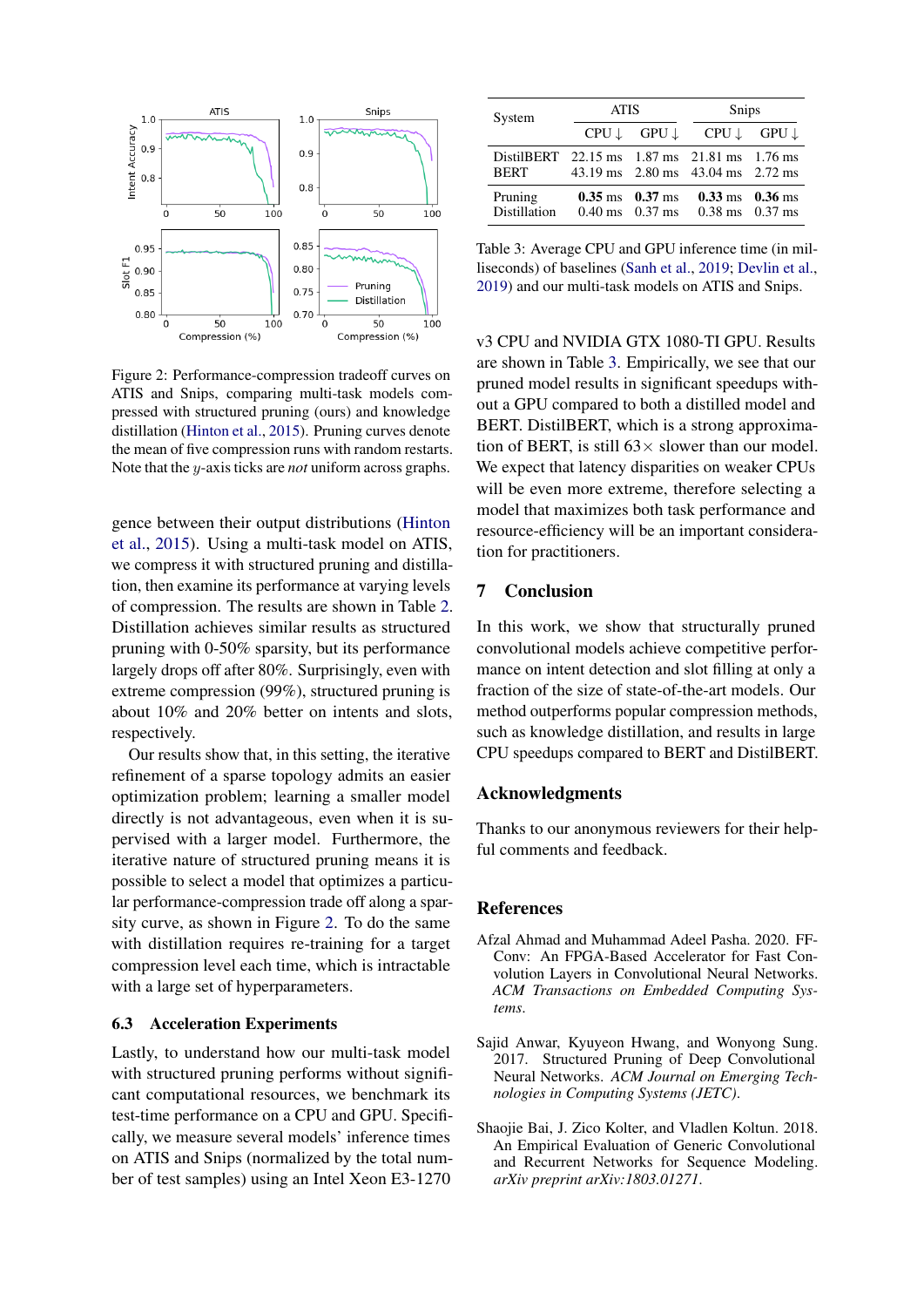<span id="page-4-3"></span>

Figure 2: Performance-compression tradeoff curves on ATIS and Snips, comparing multi-task models compressed with structured pruning (ours) and knowledge distillation [\(Hinton et al.,](#page-5-21) [2015\)](#page-5-21). Pruning curves denote the mean of five compression runs with random restarts. Note that the y-axis ticks are *not* uniform across graphs.

gence between their output distributions [\(Hinton](#page-5-21) [et al.,](#page-5-21) [2015\)](#page-5-21). Using a multi-task model on ATIS, we compress it with structured pruning and distillation, then examine its performance at varying levels of compression. The results are shown in Table [2.](#page-3-1) Distillation achieves similar results as structured pruning with 0-50% sparsity, but its performance largely drops off after 80%. Surprisingly, even with extreme compression (99%), structured pruning is about 10% and 20% better on intents and slots, respectively.

Our results show that, in this setting, the iterative refinement of a sparse topology admits an easier optimization problem; learning a smaller model directly is not advantageous, even when it is supervised with a larger model. Furthermore, the iterative nature of structured pruning means it is possible to select a model that optimizes a particular performance-compression trade off along a sparsity curve, as shown in Figure [2.](#page-4-3) To do the same with distillation requires re-training for a target compression level each time, which is intractable with a large set of hyperparameters.

### 6.3 Acceleration Experiments

Lastly, to understand how our multi-task model with structured pruning performs without significant computational resources, we benchmark its test-time performance on a CPU and GPU. Specifically, we measure several models' inference times on ATIS and Snips (normalized by the total number of test samples) using an Intel Xeon E3-1270

<span id="page-4-4"></span>

| System                                                      | <b>ATIS</b> |                                     | Snips                                                                   |                                     |  |
|-------------------------------------------------------------|-------------|-------------------------------------|-------------------------------------------------------------------------|-------------------------------------|--|
|                                                             |             |                                     | $CPU \downarrow$ $GPU \downarrow$ $CPU \downarrow$                      | GPU ↓                               |  |
| DistilBERT 22.15 ms 1.87 ms 21.81 ms 1.76 ms<br><b>BERT</b> |             |                                     | 43.19 ms 2.80 ms 43.04 ms 2.72 ms                                       |                                     |  |
| Pruning<br><b>Distillation</b>                              |             | $0.35 \text{ ms}$ $0.37 \text{ ms}$ | $0.40 \text{ ms}$ $0.37 \text{ ms}$ $0.38 \text{ ms}$ $0.37 \text{ ms}$ | $0.33 \text{ ms}$ $0.36 \text{ ms}$ |  |

Table 3: Average CPU and GPU inference time (in milliseconds) of baselines [\(Sanh et al.,](#page-6-0) [2019;](#page-6-0) [Devlin et al.,](#page-5-0) [2019\)](#page-5-0) and our multi-task models on ATIS and Snips.

v3 CPU and NVIDIA GTX 1080-TI GPU. Results are shown in Table [3.](#page-4-4) Empirically, we see that our pruned model results in significant speedups without a GPU compared to both a distilled model and BERT. DistilBERT, which is a strong approximation of BERT, is still  $63 \times$  slower than our model. We expect that latency disparities on weaker CPUs will be even more extreme, therefore selecting a model that maximizes both task performance and resource-efficiency will be an important consideration for practitioners.

# 7 Conclusion

In this work, we show that structurally pruned convolutional models achieve competitive performance on intent detection and slot filling at only a fraction of the size of state-of-the-art models. Our method outperforms popular compression methods, such as knowledge distillation, and results in large CPU speedups compared to BERT and DistilBERT.

### Acknowledgments

Thanks to our anonymous reviewers for their helpful comments and feedback.

### References

- <span id="page-4-2"></span>Afzal Ahmad and Muhammad Adeel Pasha. 2020. FF-Conv: An FPGA-Based Accelerator for Fast Convolution Layers in Convolutional Neural Networks. *ACM Transactions on Embedded Computing Systems*.
- <span id="page-4-1"></span>Sajid Anwar, Kyuyeon Hwang, and Wonyong Sung. 2017. Structured Pruning of Deep Convolutional Neural Networks. *ACM Journal on Emerging Technologies in Computing Systems (JETC)*.
- <span id="page-4-0"></span>Shaojie Bai, J. Zico Kolter, and Vladlen Koltun. 2018. An Empirical Evaluation of Generic Convolutional and Recurrent Networks for Sequence Modeling. *arXiv preprint arXiv:1803.01271*.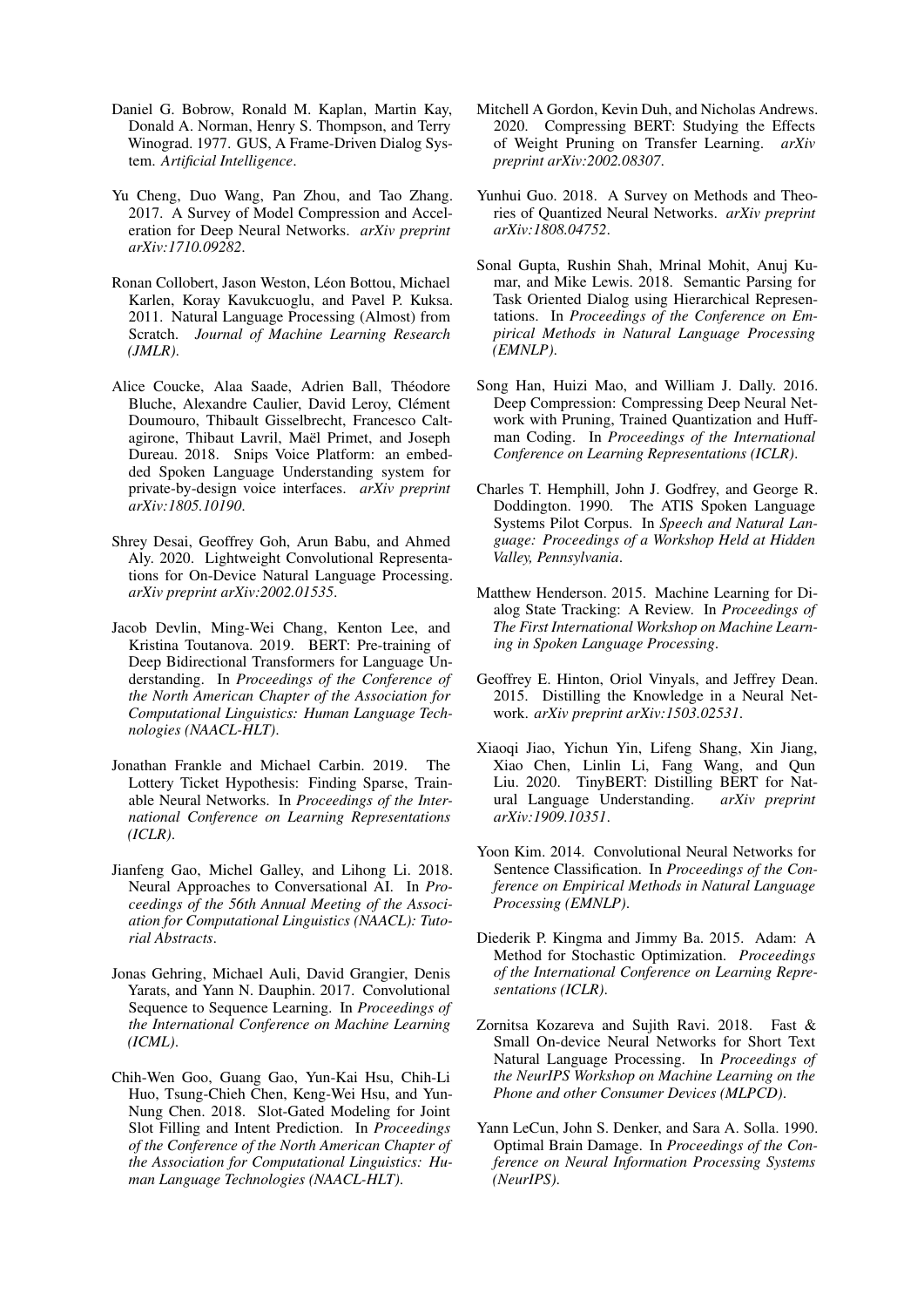- <span id="page-5-9"></span>Daniel G. Bobrow, Ronald M. Kaplan, Martin Kay, Donald A. Norman, Henry S. Thompson, and Terry Winograd. 1977. GUS, A Frame-Driven Dialog System. *Artificial Intelligence*.
- <span id="page-5-5"></span>Yu Cheng, Duo Wang, Pan Zhou, and Tao Zhang. 2017. A Survey of Model Compression and Acceleration for Deep Neural Networks. *arXiv preprint arXiv:1710.09282*.
- <span id="page-5-16"></span>Ronan Collobert, Jason Weston, Léon Bottou, Michael Karlen, Koray Kavukcuoglu, and Pavel P. Kuksa. 2011. Natural Language Processing (Almost) from Scratch. *Journal of Machine Learning Research (JMLR)*.
- <span id="page-5-1"></span>Alice Coucke, Alaa Saade, Adrien Ball, Théodore Bluche, Alexandre Caulier, David Leroy, Clément Doumouro, Thibault Gisselbrecht, Francesco Caltagirone, Thibaut Lavril, Maël Primet, and Joseph Dureau. 2018. Snips Voice Platform: an embedded Spoken Language Understanding system for private-by-design voice interfaces. *arXiv preprint arXiv:1805.10190*.
- <span id="page-5-2"></span>Shrey Desai, Geoffrey Goh, Arun Babu, and Ahmed Aly. 2020. Lightweight Convolutional Representations for On-Device Natural Language Processing. *arXiv preprint arXiv:2002.01535*.
- <span id="page-5-0"></span>Jacob Devlin, Ming-Wei Chang, Kenton Lee, and Kristina Toutanova. 2019. BERT: Pre-training of Deep Bidirectional Transformers for Language Understanding. In *Proceedings of the Conference of the North American Chapter of the Association for Computational Linguistics: Human Language Technologies (NAACL-HLT)*.
- <span id="page-5-7"></span>Jonathan Frankle and Michael Carbin. 2019. The Lottery Ticket Hypothesis: Finding Sparse, Trainable Neural Networks. In *Proceedings of the International Conference on Learning Representations (ICLR)*.
- <span id="page-5-11"></span>Jianfeng Gao, Michel Galley, and Lihong Li. 2018. Neural Approaches to Conversational AI. In *Proceedings of the 56th Annual Meeting of the Association for Computational Linguistics (NAACL): Tutorial Abstracts*.
- <span id="page-5-15"></span>Jonas Gehring, Michael Auli, David Grangier, Denis Yarats, and Yann N. Dauphin. 2017. Convolutional Sequence to Sequence Learning. In *Proceedings of the International Conference on Machine Learning (ICML)*.
- <span id="page-5-19"></span>Chih-Wen Goo, Guang Gao, Yun-Kai Hsu, Chih-Li Huo, Tsung-Chieh Chen, Keng-Wei Hsu, and Yun-Nung Chen. 2018. Slot-Gated Modeling for Joint Slot Filling and Intent Prediction. In *Proceedings of the Conference of the North American Chapter of the Association for Computational Linguistics: Human Language Technologies (NAACL-HLT)*.
- <span id="page-5-13"></span>Mitchell A Gordon, Kevin Duh, and Nicholas Andrews. 2020. Compressing BERT: Studying the Effects of Weight Pruning on Transfer Learning. *arXiv preprint arXiv:2002.08307*.
- <span id="page-5-20"></span>Yunhui Guo. 2018. A Survey on Methods and Theories of Quantized Neural Networks. *arXiv preprint arXiv:1808.04752*.
- <span id="page-5-3"></span>Sonal Gupta, Rushin Shah, Mrinal Mohit, Anuj Kumar, and Mike Lewis. 2018. Semantic Parsing for Task Oriented Dialog using Hierarchical Representations. In *Proceedings of the Conference on Empirical Methods in Natural Language Processing (EMNLP)*.
- <span id="page-5-8"></span>Song Han, Huizi Mao, and William J. Dally. 2016. Deep Compression: Compressing Deep Neural Network with Pruning, Trained Quantization and Huffman Coding. In *Proceedings of the International Conference on Learning Representations (ICLR)*.
- <span id="page-5-4"></span>Charles T. Hemphill, John J. Godfrey, and George R. Doddington. 1990. The ATIS Spoken Language Systems Pilot Corpus. In *Speech and Natural Language: Proceedings of a Workshop Held at Hidden Valley, Pennsylvania*.
- <span id="page-5-10"></span>Matthew Henderson. 2015. Machine Learning for Dialog State Tracking: A Review. In *Proceedings of The First International Workshop on Machine Learning in Spoken Language Processing*.
- <span id="page-5-21"></span>Geoffrey E. Hinton, Oriol Vinyals, and Jeffrey Dean. 2015. Distilling the Knowledge in a Neural Network. *arXiv preprint arXiv:1503.02531*.
- <span id="page-5-12"></span>Xiaoqi Jiao, Yichun Yin, Lifeng Shang, Xin Jiang, Xiao Chen, Linlin Li, Fang Wang, and Qun Liu. 2020. TinyBERT: Distilling BERT for Natural Language Understanding. *arXiv preprint arXiv:1909.10351*.
- <span id="page-5-6"></span>Yoon Kim. 2014. Convolutional Neural Networks for Sentence Classification. In *Proceedings of the Conference on Empirical Methods in Natural Language Processing (EMNLP)*.
- <span id="page-5-17"></span>Diederik P. Kingma and Jimmy Ba. 2015. Adam: A Method for Stochastic Optimization. *Proceedings of the International Conference on Learning Representations (ICLR)*.
- <span id="page-5-14"></span>Zornitsa Kozareva and Sujith Ravi. 2018. Fast & Small On-device Neural Networks for Short Text Natural Language Processing. In *Proceedings of the NeurIPS Workshop on Machine Learning on the Phone and other Consumer Devices (MLPCD)*.
- <span id="page-5-18"></span>Yann LeCun, John S. Denker, and Sara A. Solla. 1990. Optimal Brain Damage. In *Proceedings of the Conference on Neural Information Processing Systems (NeurIPS)*.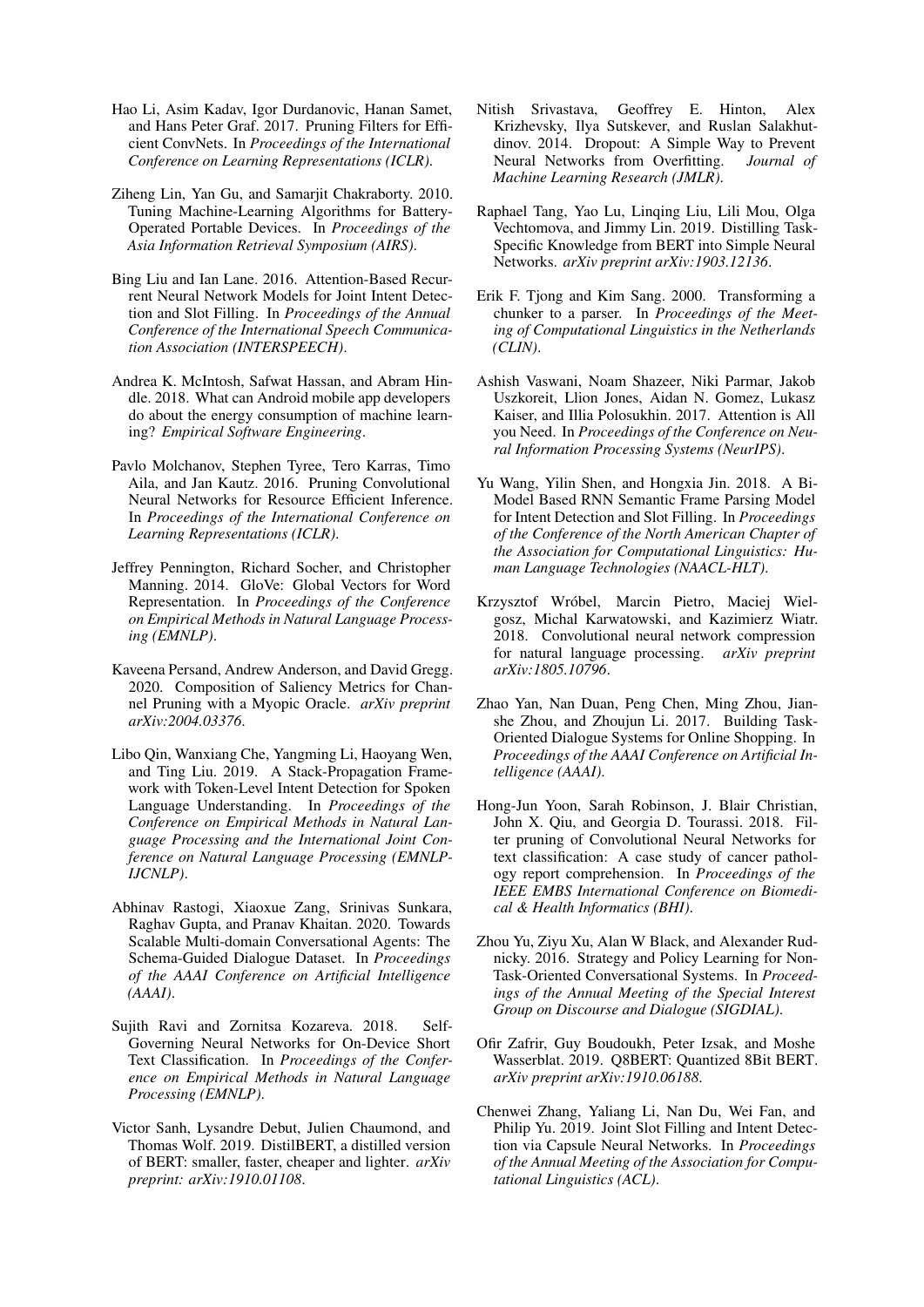- <span id="page-6-4"></span>Hao Li, Asim Kadav, Igor Durdanovic, Hanan Samet, and Hans Peter Graf. 2017. Pruning Filters for Efficient ConvNets. In *Proceedings of the International Conference on Learning Representations (ICLR)*.
- <span id="page-6-2"></span>Ziheng Lin, Yan Gu, and Samarjit Chakraborty. 2010. Tuning Machine-Learning Algorithms for Battery-Operated Portable Devices. In *Proceedings of the Asia Information Retrieval Symposium (AIRS)*.
- <span id="page-6-17"></span>Bing Liu and Ian Lane. 2016. Attention-Based Recurrent Neural Network Models for Joint Intent Detection and Slot Filling. In *Proceedings of the Annual Conference of the International Speech Communication Association (INTERSPEECH)*.
- <span id="page-6-3"></span>Andrea K. McIntosh, Safwat Hassan, and Abram Hindle. 2018. What can Android mobile app developers do about the energy consumption of machine learning? *Empirical Software Engineering*.
- <span id="page-6-18"></span>Pavlo Molchanov, Stephen Tyree, Tero Karras, Timo Aila, and Jan Kautz. 2016. Pruning Convolutional Neural Networks for Resource Efficient Inference. In *Proceedings of the International Conference on Learning Representations (ICLR)*.
- <span id="page-6-15"></span>Jeffrey Pennington, Richard Socher, and Christopher Manning. 2014. GloVe: Global Vectors for Word Representation. In *Proceedings of the Conference on Empirical Methods in Natural Language Processing (EMNLP)*.
- <span id="page-6-19"></span>Kaveena Persand, Andrew Anderson, and David Gregg. 2020. Composition of Saliency Metrics for Channel Pruning with a Myopic Oracle. *arXiv preprint arXiv:2004.03376*.
- <span id="page-6-1"></span>Libo Qin, Wanxiang Che, Yangming Li, Haoyang Wen, and Ting Liu. 2019. A Stack-Propagation Framework with Token-Level Intent Detection for Spoken Language Understanding. In *Proceedings of the Conference on Empirical Methods in Natural Language Processing and the International Joint Conference on Natural Language Processing (EMNLP-IJCNLP)*.
- <span id="page-6-7"></span>Abhinav Rastogi, Xiaoxue Zang, Srinivas Sunkara, Raghav Gupta, and Pranav Khaitan. 2020. Towards Scalable Multi-domain Conversational Agents: The Schema-Guided Dialogue Dataset. In *Proceedings of the AAAI Conference on Artificial Intelligence (AAAI)*.
- <span id="page-6-12"></span>Sujith Ravi and Zornitsa Kozareva. 2018. Self-Governing Neural Networks for On-Device Short Text Classification. In *Proceedings of the Conference on Empirical Methods in Natural Language Processing (EMNLP)*.
- <span id="page-6-0"></span>Victor Sanh, Lysandre Debut, Julien Chaumond, and Thomas Wolf. 2019. DistilBERT, a distilled version of BERT: smaller, faster, cheaper and lighter. *arXiv preprint: arXiv:1910.01108*.
- <span id="page-6-16"></span>Nitish Srivastava, Geoffrey E. Hinton, Alex Krizhevsky, Ilya Sutskever, and Ruslan Salakhutdinov. 2014. Dropout: A Simple Way to Prevent Neural Networks from Overfitting. *Journal of Machine Learning Research (JMLR)*.
- <span id="page-6-10"></span>Raphael Tang, Yao Lu, Linqing Liu, Lili Mou, Olga Vechtomova, and Jimmy Lin. 2019. Distilling Task-Specific Knowledge from BERT into Simple Neural Networks. *arXiv preprint arXiv:1903.12136*.
- <span id="page-6-21"></span>Erik F. Tjong and Kim Sang. 2000. Transforming a chunker to a parser. In *Proceedings of the Meeting of Computational Linguistics in the Netherlands (CLIN)*.
- <span id="page-6-14"></span>Ashish Vaswani, Noam Shazeer, Niki Parmar, Jakob Uszkoreit, Llion Jones, Aidan N. Gomez, Lukasz Kaiser, and Illia Polosukhin. 2017. Attention is All you Need. In *Proceedings of the Conference on Neural Information Processing Systems (NeurIPS)*.
- <span id="page-6-13"></span>Yu Wang, Yilin Shen, and Hongxia Jin. 2018. A Bi-Model Based RNN Semantic Frame Parsing Model for Intent Detection and Slot Filling. In *Proceedings of the Conference of the North American Chapter of the Association for Computational Linguistics: Human Language Technologies (NAACL-HLT)*.
- <span id="page-6-8"></span>Krzysztof Wróbel, Marcin Pietro, Maciej Wielgosz, Michal Karwatowski, and Kazimierz Wiatr. 2018. Convolutional neural network compression for natural language processing. *arXiv preprint arXiv:1805.10796*.
- <span id="page-6-6"></span>Zhao Yan, Nan Duan, Peng Chen, Ming Zhou, Jianshe Zhou, and Zhoujun Li. 2017. Building Task-Oriented Dialogue Systems for Online Shopping. In *Proceedings of the AAAI Conference on Artificial Intelligence (AAAI)*.
- <span id="page-6-11"></span>Hong-Jun Yoon, Sarah Robinson, J. Blair Christian, John X. Qiu, and Georgia D. Tourassi. 2018. Filter pruning of Convolutional Neural Networks for text classification: A case study of cancer pathology report comprehension. In *Proceedings of the IEEE EMBS International Conference on Biomedical & Health Informatics (BHI)*.
- <span id="page-6-5"></span>Zhou Yu, Ziyu Xu, Alan W Black, and Alexander Rudnicky. 2016. Strategy and Policy Learning for Non-Task-Oriented Conversational Systems. In *Proceedings of the Annual Meeting of the Special Interest Group on Discourse and Dialogue (SIGDIAL)*.
- <span id="page-6-9"></span>Ofir Zafrir, Guy Boudoukh, Peter Izsak, and Moshe Wasserblat. 2019. Q8BERT: Quantized 8Bit BERT. *arXiv preprint arXiv:1910.06188*.
- <span id="page-6-20"></span>Chenwei Zhang, Yaliang Li, Nan Du, Wei Fan, and Philip Yu. 2019. Joint Slot Filling and Intent Detection via Capsule Neural Networks. In *Proceedings of the Annual Meeting of the Association for Computational Linguistics (ACL)*.